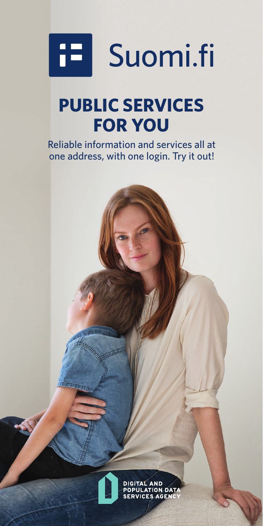

# **PUBLIC SERVICES FOR YOU**

Reliable information and services all at one address, with one login. Try it out!

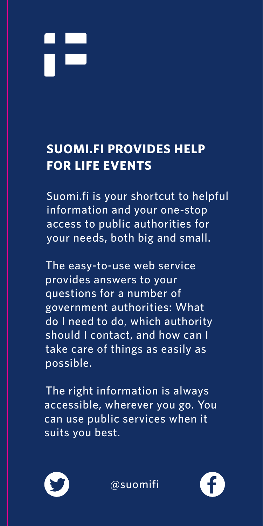

#### **SUOMI.FI PROVIDES HELP FOR LIFE EVENTS**

Suomi.fi is your shortcut to helpful information and your one-stop access to public authorities for your needs, both big and small.

The easy-to-use web service provides answers to your questions for a number of government authorities: What do I need to do, which authority should I contact, and how can I take care of things as easily as possible.

The right information is always accessible, wherever you go. You can use public services when it suits you best.



@suomifi

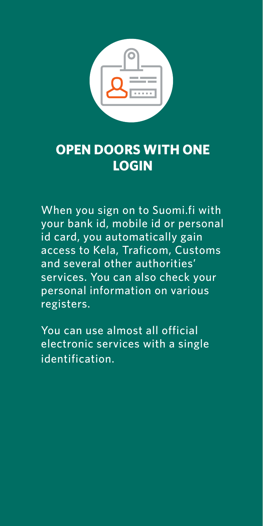

#### **OPEN DOORS WITH ONE LOGIN**

When you sign on to Suomi.fi with your bank id, mobile id or personal id card, you automatically gain access to Kela, Traficom, Customs and several other authorities' services. You can also check your personal information on various registers.

You can use almost all official electronic services with a single identification.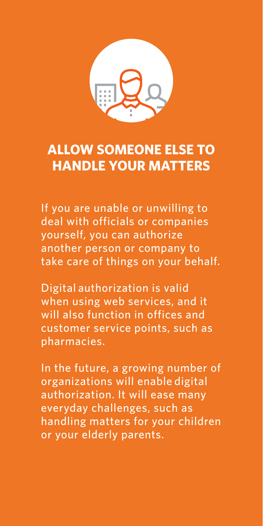

## **ALLOW SOMEONE ELSE TO JA KAIKKI OVET OVAT AUKI HANDLE YOUR MATTERS**

If you are unable or unwilling to deal with officials or companies yourself, you can authorize another person or company to take care of things on your behalf.

Digital authorization is valid when using web services, and it customer service points, such as **e** pharmacies. will also function in offices and

In the future, a growing number of organizations will enable digital authorization. It will ease many everyday challenges, such as on pian tavoitettavissa valta vien tavoitettavissa valta valta valta valta valta vien valta valta vien valta v<br>Valta vien valta valta vien valta vien valta valta valta valta valta valta valta valta valta valta valta valta or your elderly parents. handling matters for your children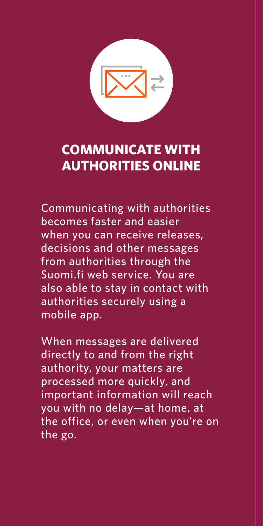

## **COMMUNICATE WITH JA KAIKKI OVET OVAT AUKI AUTHORITIES ONLINE**

Communicating with authorities becomes faster and easier when you can receive releases, decisions and other messages from authorities through the Suomi.fi web service. You are also able to stay in contact with authorities securely using a mobile app.

When messages are delivered directly to and from the right authority, your matters are processed more quickly, and  $\frac{1}{2}$  important information will reach you with no delay—at home, at  $\frac{1}{2}$ the office, or even when you're on<br>... the go.